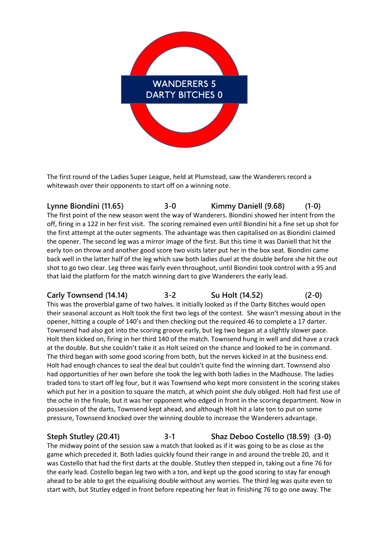

The first round of the Ladies Super League, held at Plumstead, saw the Wanderers record a whitewash over their opponents to start off on a winning note.

**Lynne Biondini (11.65) 3-0 Kimmy Daniell (9.68) (1-0)** The first point of the new season went the way of Wanderers. Biondini showed her intent from the off, firing in a 122 in her first visit. The scoring remained even until Biondini hit a fine set up shot for the first attempt at the outer segments. The advantage was then capitalised on as Biondini claimed the opener. The second leg was a mirror image of the first. But this time it was Daniell that hit the early ton on throw and another good score two visits later put her in the box seat. Biondini came back well in the latter half of the leg which saw both ladies duel at the double before she hit the out shot to go two clear. Leg three was fairly even throughout, until Biondini took control with a 95 and that laid the platform for the match winning dart to give Wanderers the early lead.

## **Carly Townsend (14.14) 3-2 Su Holt (14.52) (2-0)**

This was the proverbial game of two halves. It initially looked as if the Darty Bitches would open their seasonal account as Holt took the first two legs of the contest. She wasn't messing about in the opener, hitting a couple of 140's and then checking out the required 46 to complete a 17 darter. Townsend had also got into the scoring groove early, but leg two began at a slightly slower pace. Holt then kicked on, firing in her third 140 of the match. Townsend hung in well and did have a crack at the double. But she couldn't take it as Holt seized on the chance and looked to be in command. The third began with some good scoring from both, but the nerves kicked in at the business end. Holt had enough chances to seal the deal but couldn't quite find the winning dart. Townsend also had opportunities of her own before she took the leg with both ladies in the Madhouse. The ladies traded tons to start off leg four, but it was Townsend who kept more consistent in the scoring stakes which put her in a position to square the match, at which point she duly obliged. Holt had first use of the oche in the finale, but it was her opponent who edged in front in the scoring department. Now in possession of the darts, Townsend kept ahead, and although Holt hit a late ton to put on some pressure, Townsend knocked over the winning double to increase the Wanderers advantage.

**Steph Stutley (20.41) 3-1 Shaz Deboo Costello (18.59) (3-0)** The midway point of the session saw a match that looked as if it was going to be as close as the game which preceded it. Both ladies quickly found their range in and around the treble 20, and it was Costello that had the first darts at the double. Stutley then stepped in, taking out a fine 76 for the early lead. Costello began leg two with a ton, and kept up the good scoring to stay far enough ahead to be able to get the equalising double without any worries. The third leg was quite even to start with, but Stutley edged in front before repeating her feat in finishing 76 to go one away. The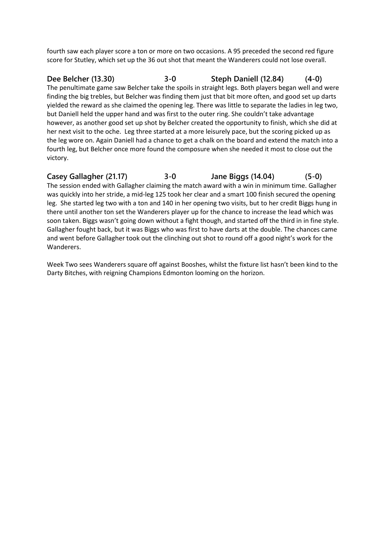fourth saw each player score a ton or more on two occasions. A 95 preceded the second red figure score for Stutley, which set up the 36 out shot that meant the Wanderers could not lose overall.

**Dee Belcher (13.30) 3-0 Steph Daniell (12.84) (4-0)** The penultimate game saw Belcher take the spoils in straight legs. Both players began well and were finding the big trebles, but Belcher was finding them just that bit more often, and good set up darts yielded the reward as she claimed the opening leg. There was little to separate the ladies in leg two, but Daniell held the upper hand and was first to the outer ring. She couldn't take advantage however, as another good set up shot by Belcher created the opportunity to finish, which she did at her next visit to the oche. Leg three started at a more leisurely pace, but the scoring picked up as the leg wore on. Again Daniell had a chance to get a chalk on the board and extend the match into a fourth leg, but Belcher once more found the composure when she needed it most to close out the victory.

**Casey Gallagher (21.17) 3-0 Jane Biggs (14.04) (5-0)** The session ended with Gallagher claiming the match award with a win in minimum time. Gallagher was quickly into her stride, a mid-leg 125 took her clear and a smart 100 finish secured the opening leg. She started leg two with a ton and 140 in her opening two visits, but to her credit Biggs hung in there until another ton set the Wanderers player up for the chance to increase the lead which was soon taken. Biggs wasn't going down without a fight though, and started off the third in in fine style. Gallagher fought back, but it was Biggs who was first to have darts at the double. The chances came and went before Gallagher took out the clinching out shot to round off a good night's work for the Wanderers.

Week Two sees Wanderers square off against Booshes, whilst the fixture list hasn't been kind to the Darty Bitches, with reigning Champions Edmonton looming on the horizon.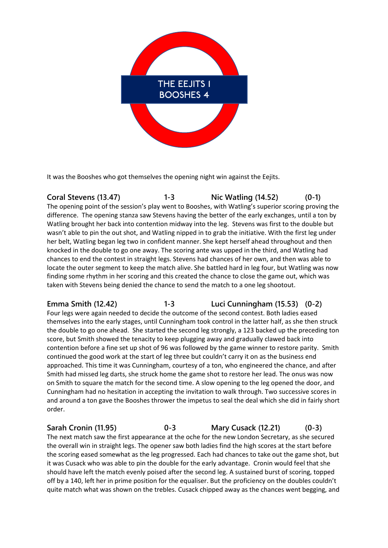

It was the Booshes who got themselves the opening night win against the Eejits.

**Coral Stevens (13.47) 1-3 Nic Watling (14.52) (0-1)** The opening point of the session's play went to Booshes, with Watling's superior scoring proving the difference. The opening stanza saw Stevens having the better of the early exchanges, until a ton by Watling brought her back into contention midway into the leg. Stevens was first to the double but wasn't able to pin the out shot, and Watling nipped in to grab the initiative. With the first leg under her belt, Watling began leg two in confident manner. She kept herself ahead throughout and then knocked in the double to go one away. The scoring ante was upped in the third, and Watling had chances to end the contest in straight legs. Stevens had chances of her own, and then was able to locate the outer segment to keep the match alive. She battled hard in leg four, but Watling was now finding some rhythm in her scoring and this created the chance to close the game out, which was taken with Stevens being denied the chance to send the match to a one leg shootout.

**Emma Smith (12.42) 1-3 Luci Cunningham (15.53) (0-2)** Four legs were again needed to decide the outcome of the second contest. Both ladies eased themselves into the early stages, until Cunningham took control in the latter half, as she then struck the double to go one ahead. She started the second leg strongly, a 123 backed up the preceding ton score, but Smith showed the tenacity to keep plugging away and gradually clawed back into contention before a fine set up shot of 96 was followed by the game winner to restore parity. Smith continued the good work at the start of leg three but couldn't carry it on as the business end approached. This time it was Cunningham, courtesy of a ton, who engineered the chance, and after Smith had missed leg darts, she struck home the game shot to restore her lead. The onus was now on Smith to square the match for the second time. A slow opening to the leg opened the door, and Cunningham had no hesitation in accepting the invitation to walk through. Two successive scores in and around a ton gave the Booshes thrower the impetus to seal the deal which she did in fairly short order.

**Sarah Cronin (11.95) 0-3 Mary Cusack (12.21) (0-3)** The next match saw the first appearance at the oche for the new London Secretary, as she secured the overall win in straight legs. The opener saw both ladies find the high scores at the start before the scoring eased somewhat as the leg progressed. Each had chances to take out the game shot, but it was Cusack who was able to pin the double for the early advantage. Cronin would feel that she should have left the match evenly poised after the second leg. A sustained burst of scoring, topped off by a 140, left her in prime position for the equaliser. But the proficiency on the doubles couldn't quite match what was shown on the trebles. Cusack chipped away as the chances went begging, and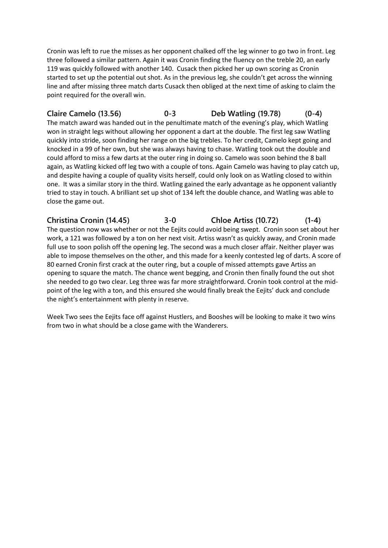Cronin was left to rue the misses as her opponent chalked off the leg winner to go two in front. Leg three followed a similar pattern. Again it was Cronin finding the fluency on the treble 20, an early 119 was quickly followed with another 140. Cusack then picked her up own scoring as Cronin started to set up the potential out shot. As in the previous leg, she couldn't get across the winning line and after missing three match darts Cusack then obliged at the next time of asking to claim the point required for the overall win.

**Claire Camelo (13.56) 0-3 Deb Watling (19.78) (0-4)** The match award was handed out in the penultimate match of the evening's play, which Watling won in straight legs without allowing her opponent a dart at the double. The first leg saw Watling quickly into stride, soon finding her range on the big trebles. To her credit, Camelo kept going and knocked in a 99 of her own, but she was always having to chase. Watling took out the double and could afford to miss a few darts at the outer ring in doing so. Camelo was soon behind the 8 ball again, as Watling kicked off leg two with a couple of tons. Again Camelo was having to play catch up, and despite having a couple of quality visits herself, could only look on as Watling closed to within one. It was a similar story in the third. Watling gained the early advantage as he opponent valiantly tried to stay in touch. A brilliant set up shot of 134 left the double chance, and Watling was able to close the game out.

**Christina Cronin (14.45) 3-0 Chloe Artiss (10.72) (1-4)** The question now was whether or not the Eejits could avoid being swept. Cronin soon set about her work, a 121 was followed by a ton on her next visit. Artiss wasn't as quickly away, and Cronin made full use to soon polish off the opening leg. The second was a much closer affair. Neither player was able to impose themselves on the other, and this made for a keenly contested leg of darts. A score of 80 earned Cronin first crack at the outer ring, but a couple of missed attempts gave Artiss an opening to square the match. The chance went begging, and Cronin then finally found the out shot she needed to go two clear. Leg three was far more straightforward. Cronin took control at the midpoint of the leg with a ton, and this ensured she would finally break the Eejits' duck and conclude the night's entertainment with plenty in reserve.

Week Two sees the Eejits face off against Hustlers, and Booshes will be looking to make it two wins from two in what should be a close game with the Wanderers.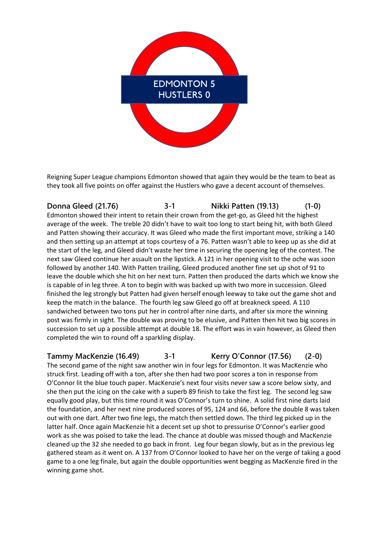

Reigning Super League champions Edmonton showed that again they would be the team to beat as they took all five points on offer against the Hustlers who gave a decent account of themselves.

**Donna Gleed (21.76) 3-1 Nikki Patten (19.13) (1-0)** Edmonton showed their intent to retain their crown from the get-go, as Gleed hit the highest average of the week. The treble 20 didn't have to wait too long to start being hit, with both Gleed and Patten showing their accuracy. It was Gleed who made the first important move, striking a 140 and then setting up an attempt at tops courtesy of a 76. Patten wasn't able to keep up as she did at the start of the leg, and Gleed didn't waste her time in securing the opening leg of the contest. The next saw Gleed continue her assault on the lipstick. A 121 in her opening visit to the oche was soon followed by another 140. With Patten trailing, Gleed produced another fine set up shot of 91 to leave the double which she hit on her next turn. Patten then produced the darts which we know she is capable of in leg three. A ton to begin with was backed up with two more in succession. Gleed finished the leg strongly but Patten had given herself enough leeway to take out the game shot and keep the match in the balance. The fourth leg saw Gleed go off at breakneck speed. A 110 sandwiched between two tons put her in control after nine darts, and after six more the winning post was firmly in sight. The double was proving to be elusive, and Patten then hit two big scores in succession to set up a possible attempt at double 18. The effort was in vain however, as Gleed then completed the win to round off a sparkling display.

**Tammy MacKenzie (16.49) 3-1 Kerry O'Connor (17.56) (2-0)** The second game of the night saw another win in four legs for Edmonton. It was MacKenzie who struck first. Leading off with a ton, after she then had two poor scores a ton in response from O'Connor lit the blue touch paper. MacKenzie's next four visits never saw a score below sixty, and she then put the icing on the cake with a superb 89 finish to take the first leg. The second leg saw equally good play, but this time round it was O'Connor's turn to shine. A solid first nine darts laid the foundation, and her next nine produced scores of 95, 124 and 66, before the double 8 was taken out with one dart. After two fine legs, the match then settled down. The third leg picked up in the latter half. Once again MacKenzie hit a decent set up shot to pressurise O'Connor's earlier good work as she was poised to take the lead. The chance at double was missed though and MacKenzie cleaned up the 32 she needed to go back in front. Leg four began slowly, but as in the previous leg gathered steam as it went on. A 137 from O'Connor looked to have her on the verge of taking a good game to a one leg finale, but again the double opportunities went begging as MacKenzie fired in the winning game shot.